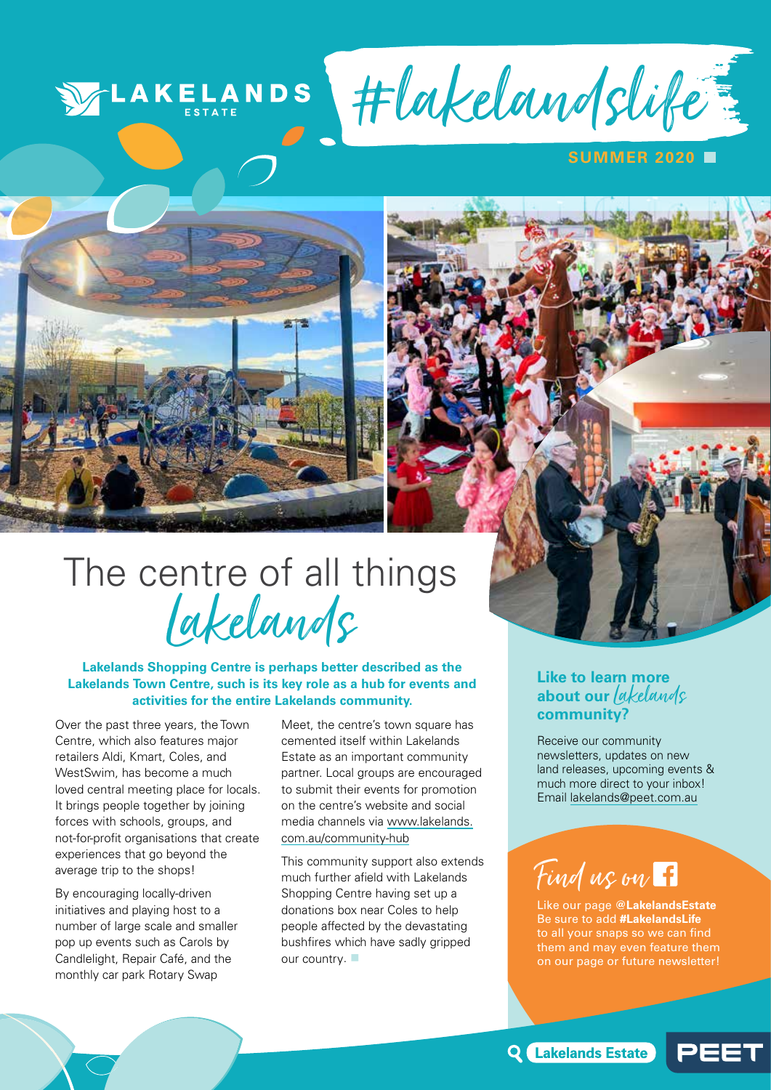## **VELAKELANDS**

#lakelandslife

### **UMMER 2020 F**



# The centre of all things Lakelands

### **Lakelands Shopping Centre is perhaps better described as the Lakelands Town Centre, such is its key role as a hub for events and activities for the entire Lakelands community.**

Over the past three years, the Town Centre, which also features major retailers Aldi, Kmart, Coles, and WestSwim, has become a much loved central meeting place for locals. It brings people together by joining forces with schools, groups, and not-for-profit organisations that create experiences that go beyond the average trip to the shops!

By encouraging locally-driven initiatives and playing host to a number of large scale and smaller pop up events such as Carols by Candlelight, Repair Café, and the monthly car park Rotary Swap

Meet, the centre's town square has cemented itself within Lakelands Estate as an important community partner. Local groups are encouraged to submit their events for promotion on the centre's website and social media channels via www.lakelands. com.au/community-hub

This community support also extends much further afield with Lakelands Shopping Centre having set up a donations box near Coles to help people affected by the devastating bushfires which have sadly gripped our country.

## **Like to learn more**  about our *lakelands* **community?**

Receive our community newsletters, updates on new land releases, upcoming events & much more direct to your inbox! Email lakelands@peet.com.au

## Find us on F

Like our page **@LakelandsEstate** Be sure to add **#LakelandsLife** to all your snaps so we can find them and may even feature them on our page or future newsletter!

**Q** Lakelands Estate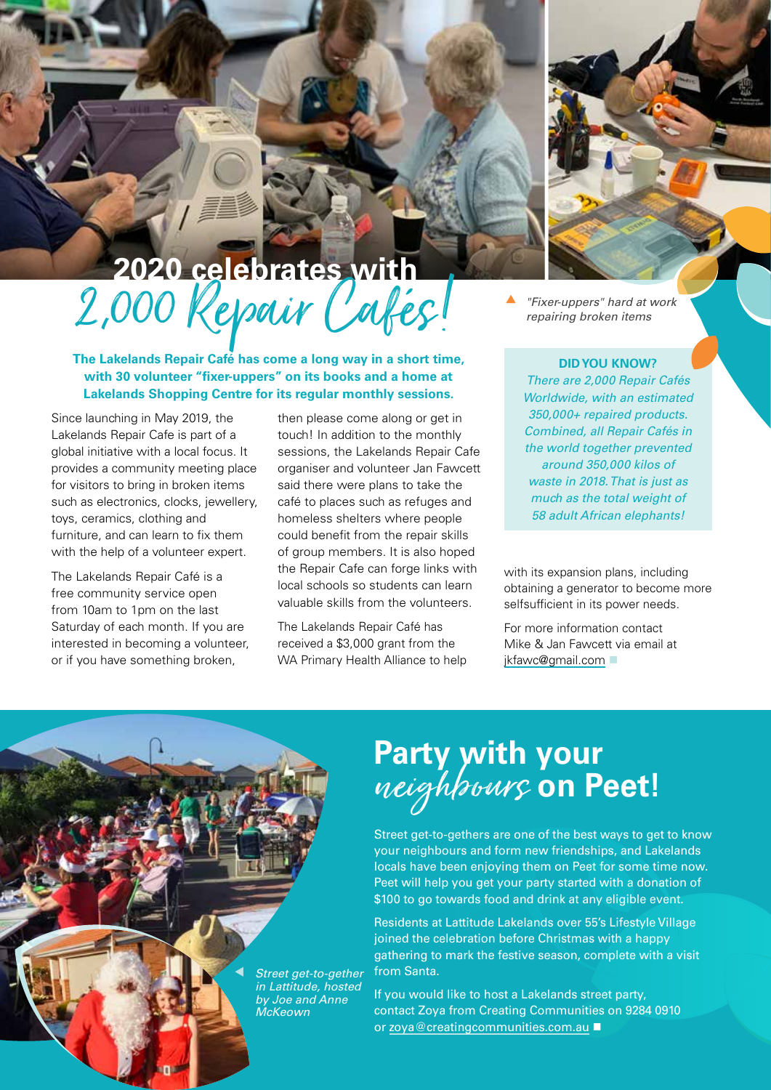# 2020 celebrates with<br>2,000 Repair Cafés

**The Lakelands Repair Café has come a long way in a short time, with 30 volunteer "fixer-uppers" on its books and a home at Lakelands Shopping Centre for its regular monthly sessions.**

Since launching in May 2019, the Lakelands Repair Cafe is part of a global initiative with a local focus. It provides a community meeting place for visitors to bring in broken items such as electronics, clocks, jewellery, toys, ceramics, clothing and furniture, and can learn to fix them with the help of a volunteer expert.

The Lakelands Repair Café is a free community service open from 10am to 1pm on the last Saturday of each month. If you are interested in becoming a volunteer, or if you have something broken,

then please come along or get in touch! In addition to the monthly sessions, the Lakelands Repair Cafe organiser and volunteer Jan Fawcett said there were plans to take the café to places such as refuges and homeless shelters where people could benefit from the repair skills of group members. It is also hoped the Repair Cafe can forge links with local schools so students can learn valuable skills from the volunteers.

The Lakelands Repair Café has received a \$3,000 grant from the WA Primary Health Alliance to help  *"Fixer-uppers" hard at work repairing broken items*

#### **DID YOU KNOW?**

*There are 2,000 Repair Cafés Worldwide, with an estimated 350,000+ repaired products. Combined, all Repair Cafés in the world together prevented around 350,000 kilos of waste in 2018. That is just as much as the total weight of 58 adult African elephants!*

with its expansion plans, including obtaining a generator to become more selfsufficient in its power needs.

For more information contact Mike & Jan Fawcett via email at jkfawc@gmail.com

# **Party with your**<br>*neighbours* on Peet!

Street get-to-gethers are one of the best ways to get to know your neighbours and form new friendships, and Lakelands locals have been enjoying them on Peet for some time now. Peet will help you get your party started with a donation of \$100 to go towards food and drink at any eligible event.

Residents at Lattitude Lakelands over 55's Lifestyle Village joined the celebration before Christmas with a happy gathering to mark the festive season, complete with a visit from Santa.

If you would like to host a Lakelands street party, contact Zoya from Creating Communities on 9284 0910 or zoya@creatingcommunities.com.au ■

 *Street get-to-gether in Lattitude, hosted by Joe and Anne McKeown*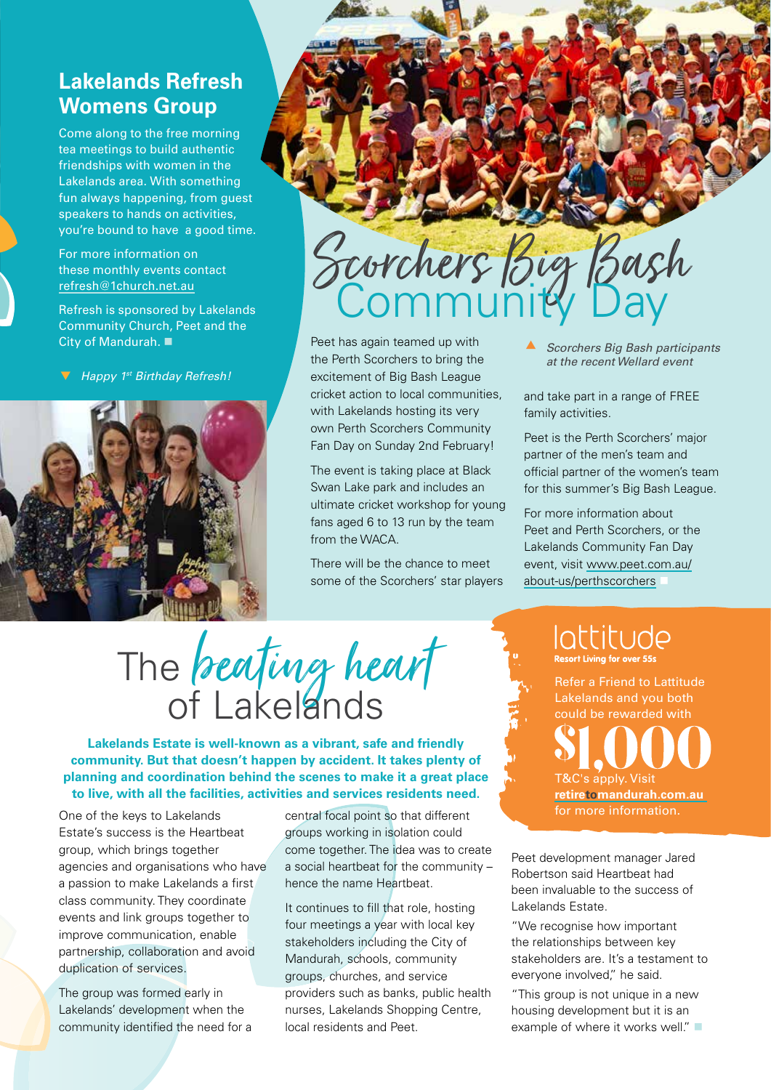## **Lakelands Refresh Womens Group**

Come along to the free morning tea meetings to build authentic friendships with women in the Lakelands area. With something fun always happening, from guest speakers to hands on activities, you're bound to have a good time.

For more information on these monthly events contact refresh@1church.net.au

Refresh is sponsored by Lakelands Community Church, Peet and the City of Mandurah. ■

*Happy 1st Birthday Refresh!*



# Scorchers Big Bash Community Day

Peet has again teamed up with the Perth Scorchers to bring the excitement of Big Bash League cricket action to local communities, with Lakelands hosting its very own Perth Scorchers Community Fan Day on Sunday 2nd February!

The event is taking place at Black Swan Lake park and includes an ultimate cricket workshop for young fans aged 6 to 13 run by the team from the WACA.

There will be the chance to meet some of the Scorchers' star players  *Scorchers Big Bash participants at the recent Wellard event*

and take part in a range of FREE family activities.

Peet is the Perth Scorchers' major partner of the men's team and official partner of the women's team for this summer's Big Bash League.

For more information about Peet and Perth Scorchers, or the Lakelands Community Fan Day event, visit www.peet.com.au/ about-us/perthscorchers

# The beating heart of Lakelands

**Lakelands Estate is well-known as a vibrant, safe and friendly community. But that doesn't happen by accident. It takes plenty of planning and coordination behind the scenes to make it a great place to live, with all the facilities, activities and services residents need.** 

One of the keys to Lakelands Estate's success is the Heartbeat group, which brings together agencies and organisations who have a passion to make Lakelands a first class community. They coordinate events and link groups together to improve communication, enable partnership, collaboration and avoid duplication of services.

The group was formed early in Lakelands' development when the community identified the need for a central focal point so that different groups working in isolation could come together. The idea was to create a social heartbeat for the community – hence the name Heartbeat.

It continues to fill that role, hosting four meetings a year with local key stakeholders including the City of Mandurah, schools, community groups, churches, and service providers such as banks, public health nurses, Lakelands Shopping Centre, local residents and Peet.

## lattitude

Refer a Friend to Lattitude Lakelands and you both could be rewarded with T&C's apply. Visit **retiretomandurah.com.au**  for more information.

Peet development manager Jared Robertson said Heartbeat had been invaluable to the success of Lakelands Estate.

"We recognise how important the relationships between key stakeholders are. It's a testament to everyone involved," he said.

"This group is not unique in a new housing development but it is an example of where it works well."